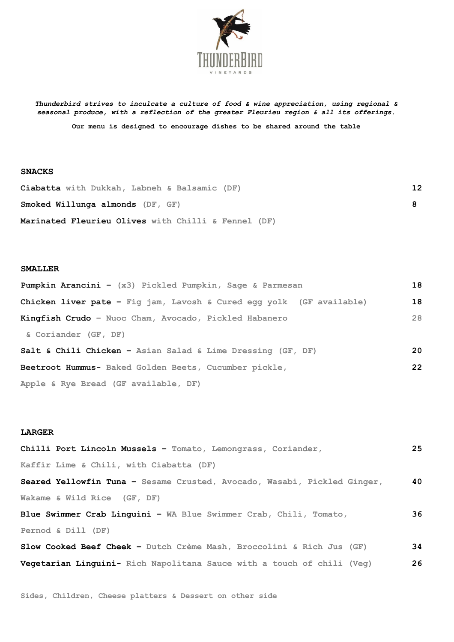

*Thunderbird strives to inculcate a culture of food & wine appreciation, using regional & seasonal produce, with a reflection of the greater Fleurieu region & all its offerings.*

**Our menu is designed to encourage dishes to be shared around the table**

## **SNACKS**

| Ciabatta with Dukkah, Labneh & Balsamic (DF)        | 12 |
|-----------------------------------------------------|----|
| Smoked Willunga almonds (DF, GF)                    |    |
| Marinated Fleurieu Olives with Chilli & Fennel (DF) |    |

## **SMALLER**

| <b>Pumpkin Arancini -</b> $(x3)$ Pickled Pumpkin, Sage & Parmesan           | 18 |
|-----------------------------------------------------------------------------|----|
| <b>Chicken liver pate -</b> Fig jam, Lavosh & Cured egg yolk (GF available) | 18 |
| Kingfish Crudo - Nuoc Cham, Avocado, Pickled Habanero                       | 28 |
| & Coriander (GF, DF)                                                        |    |
| Salt & Chili Chicken - Asian Salad & Lime Dressing (GF, DF)                 | 20 |
| Beetroot Hummus- Baked Golden Beets, Cucumber pickle,                       | 22 |
| Apple & Rye Bread (GF available, DF)                                        |    |

## **LARGER**

| Chilli Port Lincoln Mussels - Tomato, Lemongrass, Coriander,             | 25 |
|--------------------------------------------------------------------------|----|
| Kaffir Lime & Chili, with Ciabatta (DF)                                  |    |
| Seared Yellowfin Tuna - Sesame Crusted, Avocado, Wasabi, Pickled Ginger, | 40 |
| Wakame & Wild Rice (GF, DF)                                              |    |
| <b>Blue Swimmer Crab Linquini - WA Blue Swimmer Crab, Chili, Tomato,</b> | 36 |
| Pernod & Dill (DF)                                                       |    |
| Slow Cooked Beef Cheek - Dutch Crème Mash, Broccolini & Rich Jus (GF)    | 34 |
| Vegetarian Linguini- Rich Napolitana Sauce with a touch of chili (Veg)   | 26 |

**Sides, Children, Cheese platters & Dessert on other side**